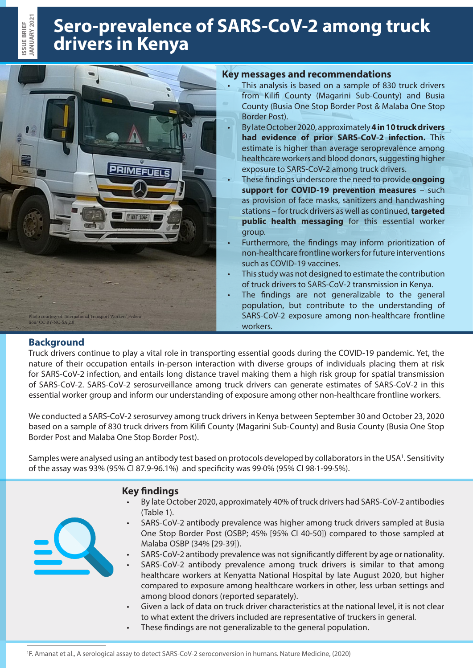# **Sero-prevalence of SARS-CoV-2 among truck drivers in Kenya**



## **Key messages and recommendations**

- This analysis is based on a sample of 830 truck drivers from Kilifi County (Magarini Sub-County) and Busia County (Busia One Stop Border Post & Malaba One Stop Border Post).
- By late October 2020, approximately **4 in 10 truck drivers had evidence of prior SARS-CoV-2 infection.** This estimate is higher than average seroprevalence among healthcare workers and blood donors, suggesting higher exposure to SARS-CoV-2 among truck drivers.
- These findings underscore the need to provide **ongoing support for COVID-19 prevention measures** – such as provision of face masks, sanitizers and handwashing stations – for truck drivers as well as continued, **targeted public health messaging** for this essential worker group.
- Furthermore, the findings may inform prioritization of non-healthcare frontline workers for future interventions such as COVID-19 vaccines.
- This study was not designed to estimate the contribution of truck drivers to SARS-CoV-2 transmission in Kenya.
- The findings are not generalizable to the general population, but contribute to the understanding of SARS-CoV-2 exposure among non-healthcare frontline workers.

## **Background**

Truck drivers continue to play a vital role in transporting essential goods during the COVID-19 pandemic. Yet, the nature of their occupation entails in-person interaction with diverse groups of individuals placing them at risk for SARS-CoV-2 infection, and entails long distance travel making them a high risk group for spatial transmission of SARS-CoV-2. SARS-CoV-2 serosurveillance among truck drivers can generate estimates of SARS-CoV-2 in this essential worker group and inform our understanding of exposure among other non-healthcare frontline workers.

We conducted a SARS-CoV-2 serosurvey among truck drivers in Kenya between September 30 and October 23, 2020 based on a sample of 830 truck drivers from Kilifi County (Magarini Sub-County) and Busia County (Busia One Stop Border Post and Malaba One Stop Border Post).

Samples were analysed using an antibody test based on protocols developed by collaborators in the USA<sup>1</sup>. Sensitivity of the assay was 93% (95% CI 87.9-96.1%) and specificity was 99·0% (95% CI 98·1-99·5%).



# **Key findings**

- By late October 2020, approximately 40% of truck drivers had SARS-CoV-2 antibodies (Table 1).
- SARS-CoV-2 antibody prevalence was higher among truck drivers sampled at Busia One Stop Border Post (OSBP; 45% [95% CI 40-50]) compared to those sampled at Malaba OSBP (34% [29-39]).
- SARS-CoV-2 antibody prevalence was not significantly different by age or nationality.
- SARS-CoV-2 antibody prevalence among truck drivers is similar to that among healthcare workers at Kenyatta National Hospital by late August 2020, but higher compared to exposure among healthcare workers in other, less urban settings and among blood donors (reported separately).
- Given a lack of data on truck driver characteristics at the national level, it is not clear to what extent the drivers included are representative of truckers in general.
- These findings are not generalizable to the general population.